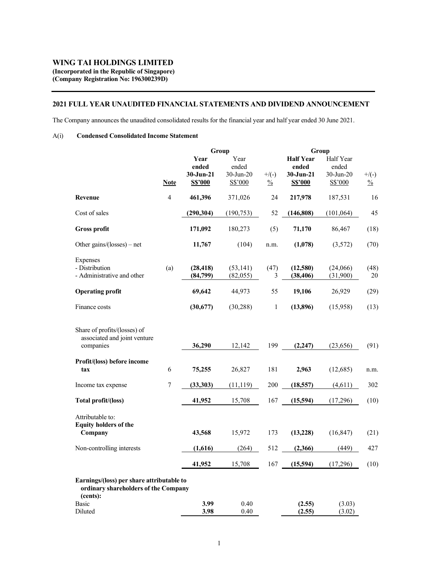### 2021 FULL YEAR UNAUDITED FINANCIAL STATEMENTS AND DIVIDEND ANNOUNCEMENT

The Company announces the unaudited consolidated results for the financial year and half year ended 30 June 2021.

## A(i) Condensed Consolidated Income Statement

|                                                                                   |                |                                | Group                         |               | Group                                  |                                 |               |
|-----------------------------------------------------------------------------------|----------------|--------------------------------|-------------------------------|---------------|----------------------------------------|---------------------------------|---------------|
|                                                                                   |                | Year<br>ended<br>$30 - Jun-21$ | Year<br>ended<br>$30$ -Jun-20 | $+$ /(-)      | <b>Half Year</b><br>ended<br>30-Jun-21 | Half Year<br>ended<br>30-Jun-20 | $+$ /(-)      |
|                                                                                   | <b>Note</b>    | S\$'000                        | S\$'000                       | $\frac{0}{0}$ | S\$'000                                | S\$'000                         | $\frac{0}{0}$ |
| <b>Revenue</b>                                                                    | $\overline{4}$ | 461,396                        | 371,026                       | 24            | 217,978                                | 187,531                         |               |
| Cost of sales                                                                     |                | (290, 304)                     | (190, 753)                    | 52            | (146, 808)                             | (101, 064)                      |               |
| Gross profit                                                                      |                | 171,092                        | 180,273                       | (5)           | 71,170                                 | 86,467                          | (18)          |
| Other gains/(losses) – net                                                        |                | 11,767                         | (104)                         | n.m.          | (1,078)                                | (3,572)                         | (70)          |
| Expenses<br>- Distribution                                                        | (a)            | (28, 418)                      | (53, 141)                     | (47)          | (12,580)                               | (24,066)                        | (48)          |
| - Administrative and other                                                        |                | (84,799)                       | (82,055)                      | 3             | (38, 406)                              | (31,900)                        |               |
| <b>Operating profit</b>                                                           |                | 69,642                         | 44,973                        | 55            | 19,106                                 | 26,929                          |               |
| Finance costs                                                                     |                | (30,677)                       | (30, 288)                     | $\mathbf{1}$  | (13,896)                               | (15,958)                        |               |
| Share of profits/(losses) of                                                      |                |                                |                               |               |                                        |                                 |               |
| associated and joint venture<br>companies                                         |                | 36,290                         | 12,142                        | 199           | (2, 247)                               | (23, 656)                       |               |
| Profit/(loss) before income<br>tax                                                | 6              | 75,255                         | 26,827                        | 181           | 2,963                                  | (12,685)                        | n.m.          |
| Income tax expense                                                                | 7              | (33,303)                       | (11, 119)                     | 200           | (18, 557)                              | (4,611)                         |               |
| Total profit/(loss)                                                               |                | 41,952                         | 15,708                        | 167           | (15,594)                               | (17,296)                        |               |
| Attributable to:                                                                  |                |                                |                               |               |                                        |                                 |               |
| <b>Equity holders of the</b><br>Company                                           |                | 43,568                         | 15,972                        | 173           | (13, 228)                              | (16, 847)                       |               |
| Non-controlling interests                                                         |                | (1,616)                        | (264)                         | 512           | (2,366)                                | (449)                           |               |
|                                                                                   |                | 41,952                         | 15,708                        | 167           | (15,594)                               | (17,296)                        |               |
| Earnings/(loss) per share attributable to<br>ordinary shareholders of the Company |                |                                |                               |               |                                        |                                 |               |
| (cents):<br>Basic<br>Diluted                                                      |                | 3.99<br>3.98                   | 0.40<br>0.40                  |               | (2.55)<br>(2.55)                       | (3.03)<br>(3.02)                |               |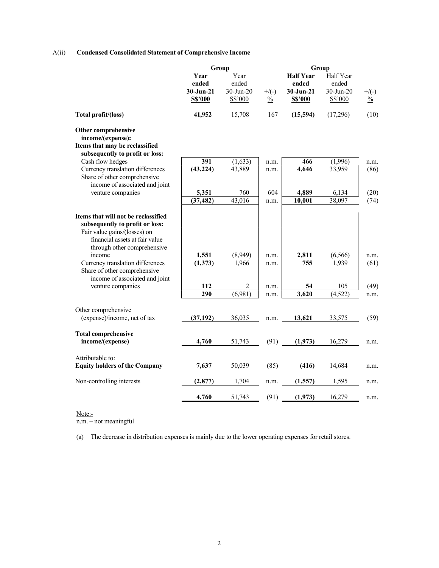## A(ii) Condensed Consolidated Statement of Comprehensive Income

|                                                                                                                                                                                                                                                                                         | Group                                       |                                             |                           | Group                                                 |                                               |                           |
|-----------------------------------------------------------------------------------------------------------------------------------------------------------------------------------------------------------------------------------------------------------------------------------------|---------------------------------------------|---------------------------------------------|---------------------------|-------------------------------------------------------|-----------------------------------------------|---------------------------|
|                                                                                                                                                                                                                                                                                         | Year<br>ended<br>$30 - Jun - 21$<br>S\$'000 | Year<br>ended<br>$30$ -Jun- $20$<br>S\$'000 | $+$ /(-)<br>$\frac{0}{0}$ | <b>Half Year</b><br>ended<br>$30 - Jun-21$<br>S\$'000 | Half Year<br>ended<br>$30$ -Jun-20<br>S\$'000 | $+$ /(-)<br>$\frac{0}{0}$ |
| Total profit/(loss)                                                                                                                                                                                                                                                                     | 41,952                                      | 15,708                                      | 167                       | (15,594)                                              | (17,296)                                      | (10)                      |
| Other comprehensive                                                                                                                                                                                                                                                                     |                                             |                                             |                           |                                                       |                                               |                           |
| income/(expense):<br>Items that may be reclassified                                                                                                                                                                                                                                     |                                             |                                             |                           |                                                       |                                               |                           |
| subsequently to profit or loss:                                                                                                                                                                                                                                                         |                                             |                                             |                           |                                                       |                                               |                           |
| Cash flow hedges                                                                                                                                                                                                                                                                        | 391                                         | (1,633)                                     | n.m.                      | 466                                                   | (1,996)                                       | n.m.                      |
| Currency translation differences                                                                                                                                                                                                                                                        | (43, 224)                                   | 43,889                                      | n.m.                      | 4,646                                                 | 33,959                                        | (86)                      |
| Share of other comprehensive                                                                                                                                                                                                                                                            |                                             |                                             |                           |                                                       |                                               |                           |
| income of associated and joint                                                                                                                                                                                                                                                          |                                             |                                             |                           |                                                       |                                               |                           |
| venture companies                                                                                                                                                                                                                                                                       | 5,351                                       | 760                                         | 604                       | 4,889                                                 | 6,134                                         | (20)                      |
|                                                                                                                                                                                                                                                                                         | (37, 482)                                   | 43,016                                      | n.m.                      | 10,001                                                | 38,097                                        | (74)                      |
| Items that will not be reclassified<br>subsequently to profit or loss:<br>Fair value gains/(losses) on<br>financial assets at fair value<br>through other comprehensive<br>income<br>Currency translation differences<br>Share of other comprehensive<br>income of associated and joint | 1,551<br>(1,373)                            | (8,949)<br>1,966                            | n.m.<br>n.m.              | 2,811<br>755                                          | (6, 566)<br>1,939                             | n.m.<br>(61)              |
| venture companies                                                                                                                                                                                                                                                                       | 112                                         | $\overline{2}$                              | n.m.                      | 54                                                    | 105                                           | (49)                      |
|                                                                                                                                                                                                                                                                                         | 290                                         | (6,981)                                     | n.m.                      | 3,620                                                 | (4,522)                                       | n.m.                      |
|                                                                                                                                                                                                                                                                                         |                                             |                                             |                           |                                                       |                                               |                           |
| Other comprehensive<br>(expense)/income, net of tax                                                                                                                                                                                                                                     | (37, 192)                                   | 36,035                                      | n.m.                      | 13,621                                                | 33,575                                        | (59)                      |
|                                                                                                                                                                                                                                                                                         |                                             |                                             |                           |                                                       |                                               |                           |
| <b>Total comprehensive</b>                                                                                                                                                                                                                                                              |                                             |                                             |                           |                                                       |                                               |                           |
| income/(expense)                                                                                                                                                                                                                                                                        | 4,760                                       | 51,743                                      | (91)                      | (1,973)                                               | 16,279                                        | n.m.                      |
| Attributable to:                                                                                                                                                                                                                                                                        |                                             |                                             |                           |                                                       |                                               |                           |
| <b>Equity holders of the Company</b>                                                                                                                                                                                                                                                    | 7,637                                       | 50,039                                      | (85)                      | (416)                                                 | 14,684                                        | n.m.                      |
| Non-controlling interests                                                                                                                                                                                                                                                               | (2, 877)                                    | 1,704                                       | n.m.                      | (1,557)                                               | 1,595                                         | n.m.                      |
|                                                                                                                                                                                                                                                                                         | 4,760                                       | 51,743                                      | (91)                      | (1,973)                                               | 16,279                                        | n.m.                      |
|                                                                                                                                                                                                                                                                                         |                                             |                                             |                           |                                                       |                                               |                           |

Note:-

n.m. – not meaningful

(a) The decrease in distribution expenses is mainly due to the lower operating expenses for retail stores.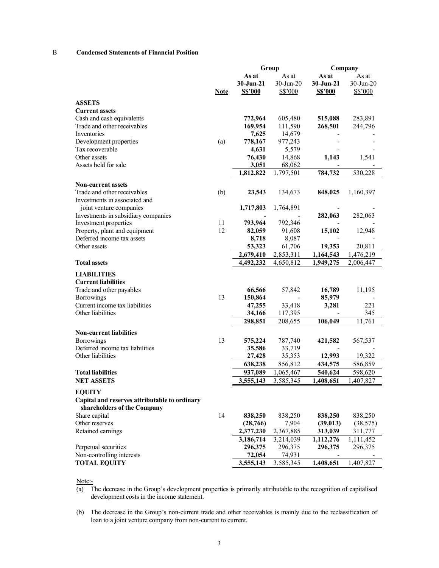### B Condensed Statements of Financial Position

|                                               |             | Group         |                          |                | Company      |
|-----------------------------------------------|-------------|---------------|--------------------------|----------------|--------------|
|                                               |             | As at         | As at                    | As at          | As at        |
|                                               |             | $30 - Jun-21$ | 30-Jun-20                | 30-Jun-21      | $30$ -Jun-20 |
|                                               | <b>Note</b> | S\$'000       | S\$'000                  | <b>S\$'000</b> | S\$'000      |
|                                               |             |               |                          |                |              |
| <b>ASSETS</b>                                 |             |               |                          |                |              |
| <b>Current assets</b>                         |             |               |                          |                |              |
| Cash and cash equivalents                     |             | 772,964       | 605,480                  | 515,088        | 283,891      |
| Trade and other receivables                   |             | 169,954       | 111,590                  | 268,501        | 244,796      |
| Inventories                                   |             | 7,625         | 14,679                   |                |              |
| Development properties                        | (a)         | 778,167       | 977,243                  |                |              |
| Tax recoverable                               |             | 4,631         | 5,579                    |                |              |
| Other assets                                  |             | 76,430        | 14,868                   | 1,143          | 1,541        |
| Assets held for sale                          |             | 3,051         | 68,062                   |                |              |
|                                               |             | 1,812,822     | 1,797,501                | 784,732        | 530,228      |
| <b>Non-current assets</b>                     |             |               |                          |                |              |
| Trade and other receivables                   |             |               |                          |                |              |
| Investments in associated and                 | (b)         | 23,543        | 134,673                  | 848,025        | 1,160,397    |
|                                               |             |               |                          |                |              |
| joint venture companies                       |             | 1,717,803     | 1,764,891                |                |              |
| Investments in subsidiary companies           |             |               | 792,346                  | 282,063        | 282,063      |
| Investment properties                         | 11          | 793,964       |                          |                |              |
| Property, plant and equipment                 | 12          | 82,059        | 91,608                   | 15,102         | 12,948       |
| Deferred income tax assets                    |             | 8,718         | 8,087                    |                |              |
| Other assets                                  |             | 53,323        | 61,706                   | 19,353         | 20,811       |
|                                               |             | 2,679,410     | 2,853,311                | 1,164,543      | 1,476,219    |
| <b>Total assets</b>                           |             | 4,492,232     | 4,650,812                | 1,949,275      | 2,006,447    |
| <b>LIABILITIES</b>                            |             |               |                          |                |              |
| <b>Current liabilities</b>                    |             |               |                          |                |              |
| Trade and other payables                      |             | 66,566        | 57,842                   | 16,789         | 11,195       |
| Borrowings                                    | 13          | 150,864       | $\overline{\phantom{a}}$ | 85,979         |              |
| Current income tax liabilities                |             | 47,255        | 33,418                   | 3,281          | 221          |
| Other liabilities                             |             | 34,166        | 117,395                  |                | 345          |
|                                               |             | 298,851       | 208,655                  | 106,049        | 11,761       |
|                                               |             |               |                          |                |              |
| <b>Non-current liabilities</b>                |             |               |                          |                |              |
| Borrowings                                    | 13          | 575,224       | 787,740                  | 421,582        | 567,537      |
| Deferred income tax liabilities               |             | 35,586        | 33,719                   |                |              |
| Other liabilities                             |             | 27,428        | 35,353                   | 12,993         | 19,322       |
|                                               |             | 638,238       | 856,812                  | 434,575        | 586,859      |
| <b>Total liabilities</b>                      |             | 937,089       | 1,065,467                | 540,624        | 598,620      |
| <b>NET ASSETS</b>                             |             | 3,555,143     | 3,585,345                | 1,408,651      | 1,407,827    |
| <b>EQUITY</b>                                 |             |               |                          |                |              |
| Capital and reserves attributable to ordinary |             |               |                          |                |              |
| shareholders of the Company                   |             |               |                          |                |              |
| Share capital                                 | 14          | 838,250       | 838,250                  | 838,250        | 838,250      |
| Other reserves                                |             | (28, 766)     | 7,904                    | (39, 013)      | (38, 575)    |
| Retained earnings                             |             | 2,377,230     | 2,367,885                | 313,039        | 311,777      |
|                                               |             |               |                          |                |              |
|                                               |             | 3,186,714     | 3,214,039                | 1,112,276      | 1,111,452    |
| Perpetual securities                          |             | 296,375       | 296,375                  | 296,375        | 296,375      |
| Non-controlling interests                     |             | 72,054        | 74,931                   |                |              |
| <b>TOTAL EQUITY</b>                           |             | 3,555,143     | 3,585,345                | 1,408,651      | 1,407,827    |

Note:-

- (a) The decrease in the Group's development properties is primarily attributable to the recognition of capitalised development costs in the income statement.
- (b) The decrease in the Group's non-current trade and other receivables is mainly due to the reclassification of loan to a joint venture company from non-current to current.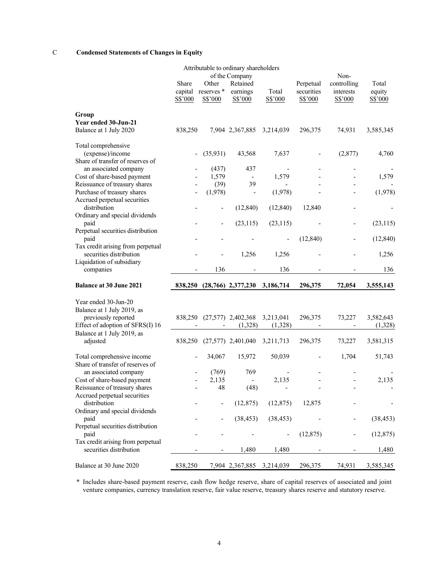## C Condensed Statements of Changes in Equity

| Attributable to ordinary shareholders                          |                             |                                |                                                   |                  |                                    |                                             |                            |
|----------------------------------------------------------------|-----------------------------|--------------------------------|---------------------------------------------------|------------------|------------------------------------|---------------------------------------------|----------------------------|
|                                                                | Share<br>capital<br>S\$'000 | Other<br>reserves *<br>S\$'000 | of the Company<br>Retained<br>earnings<br>S\$'000 | Total<br>S\$'000 | Perpetual<br>securities<br>S\$'000 | Non-<br>controlling<br>interests<br>S\$'000 | Total<br>equity<br>S\$'000 |
| Group                                                          |                             |                                |                                                   |                  |                                    |                                             |                            |
| Year ended 30-Jun-21<br>Balance at 1 July 2020                 | 838,250                     |                                | 7,904 2,367,885                                   | 3,214,039        | 296,375                            | 74,931                                      | 3,585,345                  |
| Total comprehensive<br>(expense)/income                        |                             | (35,931)                       | 43,568                                            | 7,637            |                                    | (2,877)                                     | 4,760                      |
| Share of transfer of reserves of                               |                             |                                |                                                   |                  |                                    |                                             |                            |
| an associated company                                          |                             | (437)                          | 437                                               |                  |                                    | -                                           |                            |
| Cost of share-based payment                                    |                             | 1,579                          | $\overline{\phantom{a}}$                          | 1,579            |                                    |                                             | 1,579                      |
| Reissuance of treasury shares                                  |                             | (39)<br>(1,978)                | 39                                                | (1,978)          |                                    |                                             | (1,978)                    |
| Purchase of treasury shares<br>Accrued perpetual securities    |                             |                                | $\overline{\phantom{0}}$                          |                  |                                    |                                             |                            |
| distribution<br>Ordinary and special dividends                 |                             | $\overline{a}$                 | (12, 840)                                         | (12, 840)        | 12,840                             |                                             |                            |
| paid                                                           |                             | $\overline{a}$                 | (23, 115)                                         | (23, 115)        |                                    |                                             | (23, 115)                  |
| Perpetual securities distribution<br>paid                      |                             |                                |                                                   |                  | (12, 840)                          |                                             | (12, 840)                  |
| Tax credit arising from perpetual<br>securities distribution   |                             |                                | 1,256                                             | 1,256            |                                    |                                             | 1,256                      |
| Liquidation of subsidiary<br>companies                         |                             | 136                            | -                                                 | 136              |                                    |                                             | 136                        |
| <b>Balance at 30 June 2021</b>                                 | 838,250                     |                                | $(28,766)$ 2,377,230                              | 3,186,714        | 296,375                            | 72,054                                      | 3,555,143                  |
|                                                                |                             |                                |                                                   |                  |                                    |                                             |                            |
| Year ended 30-Jun-20                                           |                             |                                |                                                   |                  |                                    |                                             |                            |
| Balance at 1 July 2019, as                                     |                             |                                |                                                   |                  |                                    |                                             |                            |
| previously reported                                            | 838,250                     |                                | $(27,577)$ 2,402,368                              | 3,213,041        | 296,375                            | 73,227                                      | 3,582,643                  |
| Effect of adoption of SFRS(I) 16<br>Balance at 1 July 2019, as |                             |                                | (1,328)                                           | (1,328)          |                                    |                                             | (1,328)                    |
| adjusted                                                       | 838,250                     |                                | $(27,577)$ 2,401,040                              | 3,211,713        | 296,375                            | 73,227                                      | 3,581,315                  |
| Total comprehensive income<br>Share of transfer of reserves of | $\overline{\phantom{0}}$    | 34,067                         | 15,972                                            | 50,039           |                                    | 1,704                                       | 51,743                     |
| an associated company                                          |                             | (769)                          | 769                                               |                  |                                    |                                             |                            |
| Cost of share-based payment                                    | $\overline{a}$              | 2,135                          | $\frac{1}{2}$                                     | 2,135            |                                    |                                             | 2,135                      |
| Reissuance of treasury shares                                  |                             | 48                             | (48)                                              |                  | -                                  |                                             |                            |
| Accrued perpetual securities<br>distribution                   |                             |                                | (12, 875)                                         | (12, 875)        | 12,875                             |                                             |                            |
| Ordinary and special dividends                                 |                             |                                |                                                   |                  |                                    |                                             |                            |
| paid                                                           |                             |                                | (38, 453)                                         | (38, 453)        |                                    |                                             | (38, 453)                  |
| Perpetual securities distribution<br>paid                      |                             |                                |                                                   |                  | (12, 875)                          |                                             | (12, 875)                  |
| Tax credit arising from perpetual<br>securities distribution   |                             |                                | 1,480                                             | 1,480            |                                    |                                             | 1,480                      |
| Balance at 30 June 2020                                        | 838,250                     |                                | 7,904 2,367,885                                   | 3,214,039        | 296,375                            | 74,931                                      | 3,585,345                  |

\* Includes share-based payment reserve, cash flow hedge reserve, share of capital reserves of associated and joint venture companies, currency translation reserve, fair value reserve, treasury shares reserve and statutory reserve.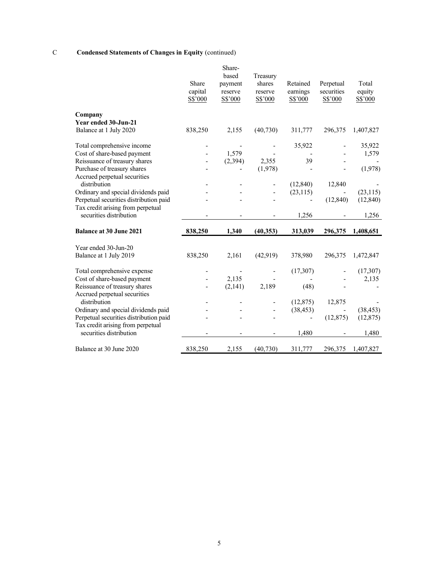## C Condensed Statements of Changes in Equity (continued)

|                                                              | Share<br>capital<br>S\$'000 | Share-<br>based<br>payment<br>reserve<br>S\$'000 | Treasury<br>shares<br>reserve<br>S\$'000 | Retained<br>earnings<br>S\$'000 | Perpetual<br>securities<br>S\$'000 | Total<br>equity<br>S\$'000 |
|--------------------------------------------------------------|-----------------------------|--------------------------------------------------|------------------------------------------|---------------------------------|------------------------------------|----------------------------|
| Company                                                      |                             |                                                  |                                          |                                 |                                    |                            |
| Year ended 30-Jun-21                                         |                             |                                                  |                                          |                                 |                                    |                            |
| Balance at 1 July 2020                                       | 838,250                     | 2,155                                            | (40, 730)                                | 311,777                         | 296,375                            | 1,407,827                  |
| Total comprehensive income                                   |                             |                                                  |                                          | 35,922                          |                                    | 35,922                     |
| Cost of share-based payment                                  |                             | 1,579                                            |                                          |                                 |                                    | 1,579                      |
| Reissuance of treasury shares                                |                             | (2, 394)                                         | 2,355                                    | 39                              |                                    |                            |
| Purchase of treasury shares                                  |                             |                                                  | (1,978)                                  |                                 |                                    | (1,978)                    |
| Accrued perpetual securities                                 |                             |                                                  |                                          |                                 |                                    |                            |
| distribution                                                 |                             |                                                  |                                          | (12, 840)                       | 12,840                             |                            |
| Ordinary and special dividends paid                          |                             |                                                  |                                          | (23, 115)                       |                                    | (23, 115)                  |
| Perpetual securities distribution paid                       |                             |                                                  |                                          |                                 | (12, 840)                          | (12, 840)                  |
| Tax credit arising from perpetual<br>securities distribution |                             |                                                  |                                          | 1,256                           |                                    | 1,256                      |
| <b>Balance at 30 June 2021</b>                               | 838,250                     | 1,340                                            | (40, 353)                                | 313,039                         | 296,375                            | 1,408,651                  |
|                                                              |                             |                                                  |                                          |                                 |                                    |                            |
| Year ended 30-Jun-20                                         |                             |                                                  |                                          |                                 |                                    |                            |
| Balance at 1 July 2019                                       | 838,250                     | 2,161                                            | (42,919)                                 | 378,980                         | 296,375                            | 1,472,847                  |
| Total comprehensive expense                                  |                             |                                                  |                                          | (17, 307)                       |                                    | (17, 307)                  |
| Cost of share-based payment                                  |                             | 2,135                                            |                                          |                                 |                                    | 2,135                      |
| Reissuance of treasury shares                                |                             | (2,141)                                          | 2,189                                    | (48)                            |                                    |                            |
| Accrued perpetual securities                                 |                             |                                                  |                                          |                                 |                                    |                            |
| distribution                                                 |                             |                                                  |                                          | (12, 875)                       | 12,875                             |                            |
| Ordinary and special dividends paid                          |                             |                                                  |                                          | (38, 453)                       |                                    | (38, 453)                  |
| Perpetual securities distribution paid                       |                             |                                                  |                                          |                                 | (12, 875)                          | (12, 875)                  |
| Tax credit arising from perpetual<br>securities distribution |                             |                                                  |                                          | 1,480                           |                                    | 1,480                      |
| Balance at 30 June 2020                                      | 838,250                     | 2,155                                            | (40, 730)                                | 311,777                         | 296,375                            | 1,407,827                  |
|                                                              |                             |                                                  |                                          |                                 |                                    |                            |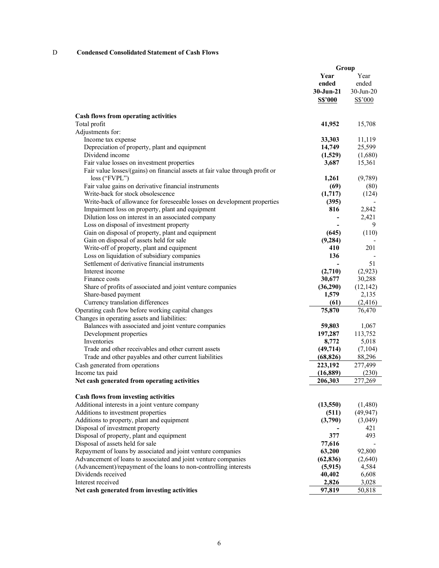## D Condensed Consolidated Statement of Cash Flows

|                                                                               |                | Group        |
|-------------------------------------------------------------------------------|----------------|--------------|
|                                                                               | Year           | Year         |
|                                                                               | ended          | ended        |
|                                                                               | $30 - Jun-21$  | $30$ -Jun-20 |
|                                                                               | <b>S\$'000</b> | S\$'000      |
| <b>Cash flows from operating activities</b>                                   |                |              |
| Total profit                                                                  | 41,952         | 15,708       |
| Adjustments for:                                                              |                |              |
| Income tax expense                                                            | 33,303         | 11,119       |
| Depreciation of property, plant and equipment                                 | 14,749         | 25,599       |
| Dividend income                                                               | (1,529)        | (1,680)      |
| Fair value losses on investment properties                                    | 3,687          | 15,361       |
| Fair value losses/(gains) on financial assets at fair value through profit or |                |              |
| $loss$ ("FVPL")                                                               | 1,261          | (9,789)      |
| Fair value gains on derivative financial instruments                          | (69)           | (80)         |
| Write-back for stock obsolescence                                             | (1,717)        | (124)        |
| Write-back of allowance for foreseeable losses on development properties      | (395)          |              |
| Impairment loss on property, plant and equipment                              | 816            | 2,842        |
| Dilution loss on interest in an associated company                            |                | 2,421        |
| Loss on disposal of investment property                                       |                | 9            |
| Gain on disposal of property, plant and equipment                             | (645)          | (110)        |
| Gain on disposal of assets held for sale                                      | (9, 284)       |              |
| Write-off of property, plant and equipment                                    | 410            | 201          |
| Loss on liquidation of subsidiary companies                                   | 136            |              |
| Settlement of derivative financial instruments                                |                | 51           |
| Interest income                                                               | (2,710)        | (2,923)      |
| Finance costs                                                                 | 30,677         | 30,288       |
| Share of profits of associated and joint venture companies                    | (36,290)       | (12, 142)    |
| Share-based payment                                                           | 1,579          | 2,135        |
| Currency translation differences                                              | (61)           | (2,416)      |
| Operating cash flow before working capital changes                            | 75,870         | 76,470       |
| Changes in operating assets and liabilities:                                  |                |              |
| Balances with associated and joint venture companies                          | 59,803         | 1,067        |
| Development properties                                                        | 197,287        | 113,752      |
| Inventories                                                                   | 8,772          | 5,018        |
| Trade and other receivables and other current assets                          | (49, 714)      | (7,104)      |
| Trade and other payables and other current liabilities                        | (68, 826)      | 88,296       |
| Cash generated from operations                                                | 223,192        | 277,499      |
| Income tax paid                                                               | (16, 889)      | (230)        |
| Net cash generated from operating activities                                  | 206,303        | 277,269      |
| Cash flows from investing activities                                          |                |              |
| Additional interests in a joint venture company                               | (13,550)       | (1,480)      |
| Additions to investment properties                                            | (511)          | (49, 947)    |
| Additions to property, plant and equipment                                    | (3,790)        | (3,049)      |
| Disposal of investment property                                               |                | 421          |
| Disposal of property, plant and equipment                                     | 377            | 493          |
| Disposal of assets held for sale                                              | 77,616         |              |
| Repayment of loans by associated and joint venture companies                  | 63,200         | 92,800       |
| Advancement of loans to associated and joint venture companies                | (62, 836)      | (2,640)      |
| (Advancement)/repayment of the loans to non-controlling interests             | (5, 915)       | 4,584        |
| Dividends received                                                            | 40,402         | 6,608        |
| Interest received                                                             | 2,826          | 3,028        |
| Net cash generated from investing activities                                  | 97,819         | 50,818       |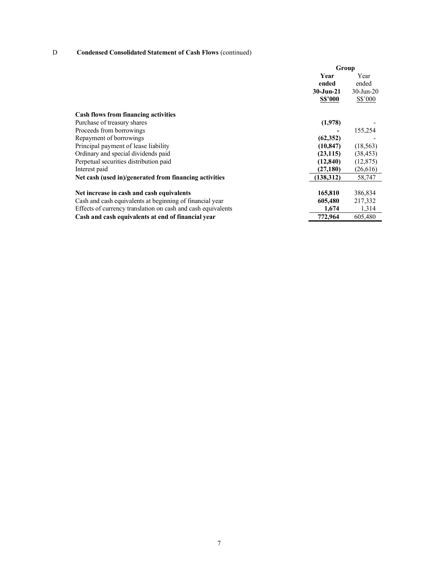## D Condensed Consolidated Statement of Cash Flows (continued)

|                                                              | Group          |              |
|--------------------------------------------------------------|----------------|--------------|
|                                                              | Year           | Year         |
|                                                              | ended          | ended        |
|                                                              | $30 - Jun-21$  | $30$ -Jun-20 |
|                                                              | <b>S\$'000</b> | S\$'000      |
| <b>Cash flows from financing activities</b>                  |                |              |
| Purchase of treasury shares                                  | (1,978)        |              |
| Proceeds from borrowings                                     |                | 155,254      |
| Repayment of borrowings                                      | (62, 352)      |              |
| Principal payment of lease liability                         | (10, 847)      | (18, 563)    |
| Ordinary and special dividends paid                          | (23, 115)      | (38, 453)    |
| Perpetual securities distribution paid                       | (12, 840)      | (12, 875)    |
| Interest paid                                                | (27, 180)      | (26,616)     |
| Net cash (used in)/generated from financing activities       | (138, 312)     | 58,747       |
| Net increase in cash and cash equivalents                    | 165,810        | 386,834      |
| Cash and cash equivalents at beginning of financial year     | 605,480        | 217,332      |
| Effects of currency translation on cash and cash equivalents | 1,674          | 1,314        |
| Cash and cash equivalents at end of financial year           | 772,964        | 605,480      |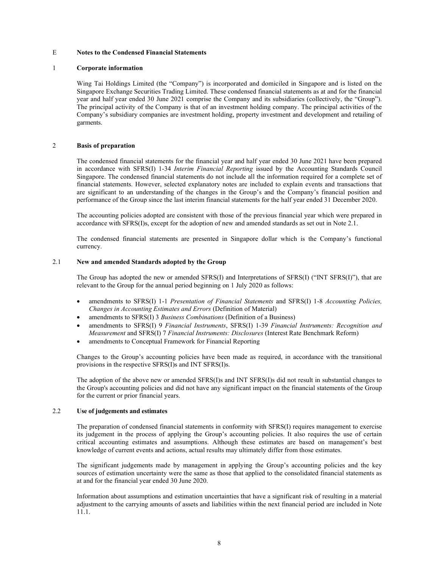#### E Notes to the Condensed Financial Statements

#### 1 Corporate information

Wing Tai Holdings Limited (the "Company") is incorporated and domiciled in Singapore and is listed on the Singapore Exchange Securities Trading Limited. These condensed financial statements as at and for the financial year and half year ended 30 June 2021 comprise the Company and its subsidiaries (collectively, the "Group"). The principal activity of the Company is that of an investment holding company. The principal activities of the Company's subsidiary companies are investment holding, property investment and development and retailing of garments.

#### 2 Basis of preparation

The condensed financial statements for the financial year and half year ended 30 June 2021 have been prepared in accordance with SFRS(I) 1-34 Interim Financial Reporting issued by the Accounting Standards Council Singapore. The condensed financial statements do not include all the information required for a complete set of financial statements. However, selected explanatory notes are included to explain events and transactions that are significant to an understanding of the changes in the Group's and the Company's financial position and performance of the Group since the last interim financial statements for the half year ended 31 December 2020.

The accounting policies adopted are consistent with those of the previous financial year which were prepared in accordance with SFRS(I)s, except for the adoption of new and amended standards as set out in Note 2.1.

The condensed financial statements are presented in Singapore dollar which is the Company's functional currency.

### 2.1 New and amended Standards adopted by the Group

The Group has adopted the new or amended SFRS(I) and Interpretations of SFRS(I) ("INT SFRS(I)"), that are relevant to the Group for the annual period beginning on 1 July 2020 as follows:

- amendments to SFRS(I) 1-1 Presentation of Financial Statements and SFRS(I) 1-8 Accounting Policies, Changes in Accounting Estimates and Errors (Definition of Material)
- amendments to SFRS(I) 3 Business Combinations (Definition of a Business)
- amendments to SFRS(I) 9 Financial Instruments, SFRS(I) 1-39 Financial Instruments: Recognition and Measurement and SFRS(I) 7 Financial Instruments: Disclosures (Interest Rate Benchmark Reform)
- amendments to Conceptual Framework for Financial Reporting

Changes to the Group's accounting policies have been made as required, in accordance with the transitional provisions in the respective SFRS(I)s and INT SFRS(I)s.

The adoption of the above new or amended SFRS(I)s and INT SFRS(I)s did not result in substantial changes to the Group's accounting policies and did not have any significant impact on the financial statements of the Group for the current or prior financial years.

#### 2.2 Use of judgements and estimates

The preparation of condensed financial statements in conformity with SFRS(I) requires management to exercise its judgement in the process of applying the Group's accounting policies. It also requires the use of certain critical accounting estimates and assumptions. Although these estimates are based on management's best knowledge of current events and actions, actual results may ultimately differ from those estimates.

The significant judgements made by management in applying the Group's accounting policies and the key sources of estimation uncertainty were the same as those that applied to the consolidated financial statements as at and for the financial year ended 30 June 2020.

Information about assumptions and estimation uncertainties that have a significant risk of resulting in a material adjustment to the carrying amounts of assets and liabilities within the next financial period are included in Note 11.1.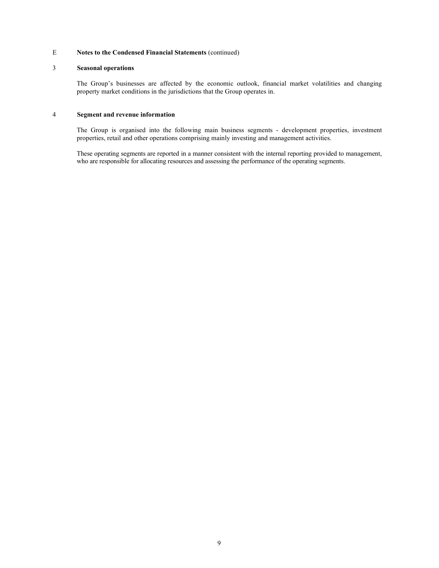## 3 Seasonal operations

The Group's businesses are affected by the economic outlook, financial market volatilities and changing property market conditions in the jurisdictions that the Group operates in.

## 4 Segment and revenue information

The Group is organised into the following main business segments - development properties, investment properties, retail and other operations comprising mainly investing and management activities.

These operating segments are reported in a manner consistent with the internal reporting provided to management, who are responsible for allocating resources and assessing the performance of the operating segments.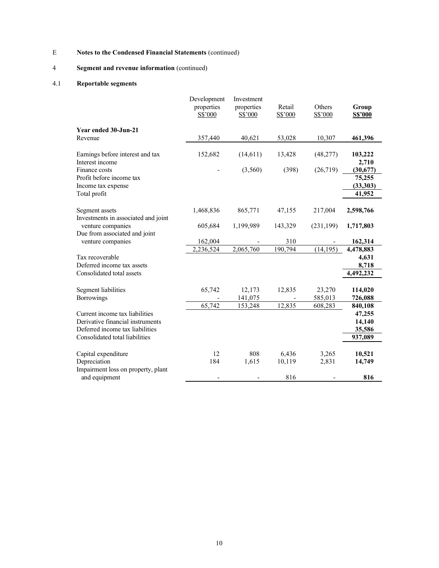# 4 Segment and revenue information (continued)

## 4.1 Reportable segments

|                                                         | Development<br>properties<br>S\$'000 | Investment<br>properties<br>S\$'000 | Retail<br>S\$'000 | Others<br>S\$'000        | Group<br><b>S\$'000</b> |
|---------------------------------------------------------|--------------------------------------|-------------------------------------|-------------------|--------------------------|-------------------------|
| Year ended 30-Jun-21                                    |                                      |                                     |                   |                          |                         |
| Revenue                                                 | 357,440                              | 40,621                              | 53,028            | 10,307                   | 461,396                 |
| Earnings before interest and tax<br>Interest income     | 152,682                              | (14, 611)                           | 13,428            | (48, 277)                | 103,222<br>2,710        |
| Finance costs                                           |                                      | (3,560)                             | (398)             | (26,719)                 | (30,677)                |
| Profit before income tax<br>Income tax expense          |                                      |                                     |                   |                          | 75,255<br>(33,303)      |
| Total profit                                            |                                      |                                     |                   |                          | 41,952                  |
| Segment assets<br>Investments in associated and joint   | 1,468,836                            | 865,771                             | 47,155            | 217,004                  | 2,598,766               |
| venture companies                                       | 605,684                              | 1,199,989                           | 143,329           | (231,199)                | 1,717,803               |
| Due from associated and joint<br>venture companies      | 162,004                              |                                     | 310               |                          | 162,314                 |
|                                                         | 2,236,524                            | 2,065,760                           | 190,794           | (14, 195)                | 4,478,883               |
| Tax recoverable                                         |                                      |                                     |                   |                          | 4,631                   |
| Deferred income tax assets<br>Consolidated total assets |                                      |                                     |                   |                          | 8,718                   |
|                                                         |                                      |                                     |                   |                          | 4,492,232               |
| Segment liabilities                                     | 65,742                               | 12,173                              | 12,835            | 23,270                   | 114,020                 |
| <b>Borrowings</b>                                       |                                      | 141,075                             |                   | 585,013                  | 726,088                 |
| Current income tax liabilities                          | 65,742                               | 153,248                             | 12,835            | 608,283                  | 840,108<br>47,255       |
| Derivative financial instruments                        |                                      |                                     |                   |                          | 14,140                  |
| Deferred income tax liabilities                         |                                      |                                     |                   |                          | 35,586                  |
| Consolidated total liabilities                          |                                      |                                     |                   |                          | 937,089                 |
| Capital expenditure                                     | 12                                   | 808                                 | 6,436             | 3,265                    | 10,521                  |
| Depreciation                                            | 184                                  | 1,615                               | 10,119            | 2,831                    | 14,749                  |
| Impairment loss on property, plant<br>and equipment     | ۰                                    |                                     | 816               | $\overline{\phantom{0}}$ | 816                     |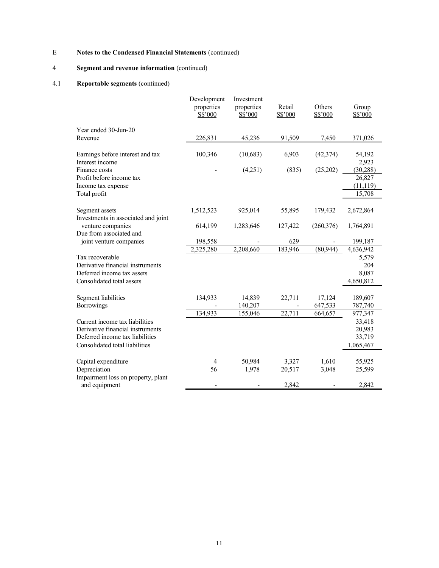## 4 Segment and revenue information (continued)

## 4.1 Reportable segments (continued)

|                                                                                                       | Development<br>properties<br>S\$'000 | Investment<br>properties<br>S\$'000 | Retail<br>S\$'000 | Others<br>S\$'000 | Group<br>S\$'000                           |
|-------------------------------------------------------------------------------------------------------|--------------------------------------|-------------------------------------|-------------------|-------------------|--------------------------------------------|
| Year ended 30-Jun-20                                                                                  |                                      |                                     |                   |                   |                                            |
| Revenue                                                                                               | 226,831                              | 45,236                              | 91,509            | 7,450             | 371,026                                    |
| Earnings before interest and tax<br>Interest income                                                   | 100,346                              | (10,683)                            | 6,903             | (42, 374)         | 54,192<br>2,923                            |
| Finance costs<br>Profit before income tax<br>Income tax expense<br>Total profit                       |                                      | (4,251)                             | (835)             | (25,202)          | (30, 288)<br>26,827<br>(11, 119)<br>15,708 |
|                                                                                                       |                                      |                                     |                   |                   |                                            |
| Segment assets<br>Investments in associated and joint                                                 | 1,512,523                            | 925,014                             | 55,895            | 179,432           | 2,672,864                                  |
| venture companies                                                                                     | 614,199                              | 1,283,646                           | 127,422           | (260, 376)        | 1,764,891                                  |
| Due from associated and<br>joint venture companies                                                    | 198,558                              |                                     | 629               |                   | 199,187                                    |
|                                                                                                       | 2,325,280                            | 2,208,660                           | 183,946           | (80, 944)         | 4,636,942                                  |
| Tax recoverable<br>Derivative financial instruments<br>Deferred income tax assets                     |                                      |                                     |                   |                   | 5,579<br>204<br>8,087                      |
| Consolidated total assets                                                                             |                                      |                                     |                   |                   | 4,650,812                                  |
| Segment liabilities<br><b>Borrowings</b>                                                              | 134,933                              | 14,839<br>140,207                   | 22,711            | 17,124<br>647,533 | 189,607<br>787,740                         |
|                                                                                                       | 134,933                              | 155,046                             | 22,711            | 664,657           | 977,347                                    |
| Current income tax liabilities<br>Derivative financial instruments<br>Deferred income tax liabilities |                                      |                                     |                   |                   | 33,418<br>20,983<br>33,719                 |
| Consolidated total liabilities                                                                        |                                      |                                     |                   |                   | 1,065,467                                  |
| Capital expenditure<br>Depreciation                                                                   | 4<br>56                              | 50,984<br>1,978                     | 3,327<br>20,517   | 1,610<br>3,048    | 55,925<br>25,599                           |
| Impairment loss on property, plant<br>and equipment                                                   | $\overline{\phantom{a}}$             |                                     | 2,842             |                   | 2,842                                      |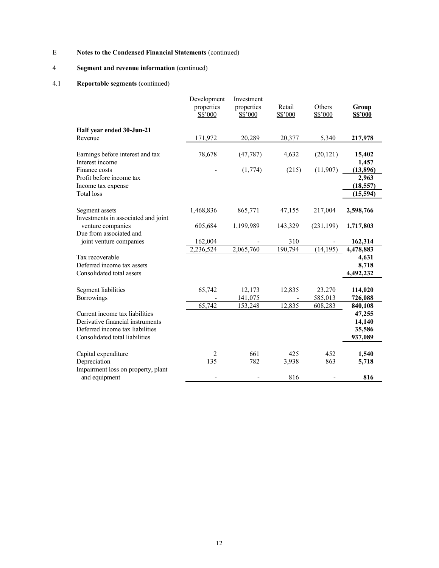# 4 Segment and revenue information (continued)

## 4.1 Reportable segments (continued)

|                                                                    | Development<br>properties<br>S\$'000 | Investment<br>properties<br>S\$'000 | Retail<br>S\$'000 | Others<br>S\$'000            | Group<br><b>S\$'000</b> |
|--------------------------------------------------------------------|--------------------------------------|-------------------------------------|-------------------|------------------------------|-------------------------|
| Half year ended 30-Jun-21                                          |                                      |                                     |                   |                              |                         |
| Revenue                                                            | 171,972                              | 20,289                              | 20,377            | 5,340                        | 217,978                 |
| Earnings before interest and tax<br>Interest income                | 78,678                               | (47, 787)                           | 4,632             | (20, 121)                    | 15,402<br>1,457         |
| Finance costs                                                      |                                      | (1,774)                             | (215)             | (11,907)                     | (13, 896)               |
| Profit before income tax<br>Income tax expense                     |                                      |                                     |                   |                              | 2,963<br>(18, 557)      |
| Total loss                                                         |                                      |                                     |                   |                              | (15,594)                |
| Segment assets<br>Investments in associated and joint              | 1,468,836                            | 865,771                             | 47,155            | 217,004                      | 2,598,766               |
| venture companies<br>Due from associated and                       | 605,684                              | 1,199,989                           | 143,329           | (231, 199)                   | 1,717,803               |
| joint venture companies                                            | 162,004                              |                                     | 310               |                              | 162,314                 |
|                                                                    | 2,236,524                            | 2,065,760                           | 190,794           | (14, 195)                    | 4,478,883               |
| Tax recoverable                                                    |                                      |                                     |                   |                              | 4,631                   |
| Deferred income tax assets<br>Consolidated total assets            |                                      |                                     |                   |                              | 8,718<br>4,492,232      |
|                                                                    |                                      |                                     |                   |                              |                         |
| Segment liabilities                                                | 65,742                               | 12,173                              | 12,835            | 23,270                       | 114,020                 |
| <b>Borrowings</b>                                                  |                                      | 141,075                             |                   | 585,013                      | 726,088                 |
|                                                                    | 65,742                               | 153,248                             | 12,835            | 608,283                      | 840,108                 |
| Current income tax liabilities<br>Derivative financial instruments |                                      |                                     |                   |                              | 47,255                  |
| Deferred income tax liabilities                                    |                                      |                                     |                   |                              | 14,140<br>35,586        |
| Consolidated total liabilities                                     |                                      |                                     |                   |                              | 937,089                 |
| Capital expenditure                                                | 2                                    | 661                                 | 425               | 452                          | 1,540                   |
| Depreciation<br>Impairment loss on property, plant                 | 135                                  | 782                                 | 3,938             | 863                          | 5,718                   |
| and equipment                                                      | ۳                                    |                                     | 816               | $\qquad \qquad \blacksquare$ | 816                     |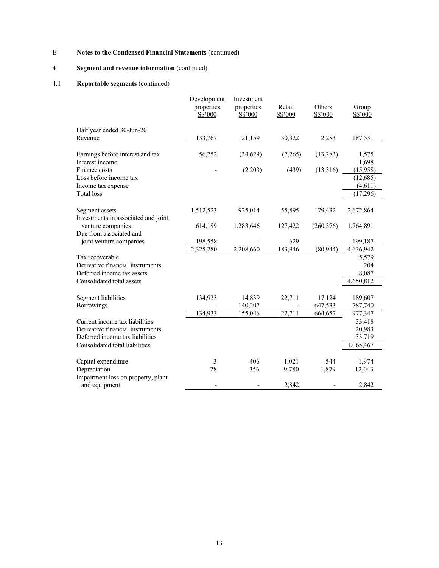## 4 Segment and revenue information (continued)

## 4.1 Reportable segments (continued)

|                                                                             | Development<br>properties<br>S\$'000 | Investment<br>properties<br>S\$'000 | Retail<br>S\$'000 | Others<br>S\$'000 | Group<br>S\$'000                             |
|-----------------------------------------------------------------------------|--------------------------------------|-------------------------------------|-------------------|-------------------|----------------------------------------------|
| Half year ended 30-Jun-20                                                   |                                      |                                     |                   |                   |                                              |
| Revenue                                                                     | 133,767                              | 21,159                              | 30,322            | 2,283             | 187,531                                      |
| Earnings before interest and tax<br>Interest income                         | 56,752                               | (34,629)                            | (7,265)           | (13,283)          | 1,575<br>1,698                               |
| Finance costs<br>Loss before income tax<br>Income tax expense<br>Total loss |                                      | (2,203)                             | (439)             | (13,316)          | (15,958)<br>(12, 685)<br>(4,611)<br>(17,296) |
| Segment assets<br>Investments in associated and joint                       | 1,512,523                            | 925,014                             | 55,895            | 179,432           | 2,672,864                                    |
| venture companies<br>Due from associated and                                | 614,199                              | 1,283,646                           | 127,422           | (260, 376)        | 1,764,891                                    |
| joint venture companies                                                     | 198,558                              |                                     | 629               |                   | 199,187                                      |
|                                                                             | 2,325,280                            | 2,208,660                           | 183,946           | (80, 944)         | 4,636,942                                    |
| Tax recoverable                                                             |                                      |                                     |                   |                   | 5,579                                        |
| Derivative financial instruments<br>Deferred income tax assets              |                                      |                                     |                   |                   | 204<br>8,087                                 |
| Consolidated total assets                                                   |                                      |                                     |                   |                   | 4,650,812                                    |
| Segment liabilities                                                         | 134,933                              | 14,839                              | 22,711            | 17,124            | 189,607                                      |
| <b>Borrowings</b>                                                           |                                      | 140,207                             |                   | 647,533           | 787,740                                      |
|                                                                             | 134,933                              | 155,046                             | 22,711            | 664,657           | 977,347                                      |
| Current income tax liabilities                                              |                                      |                                     |                   |                   | 33,418                                       |
| Derivative financial instruments                                            |                                      |                                     |                   |                   | 20,983                                       |
| Deferred income tax liabilities                                             |                                      |                                     |                   |                   | 33,719                                       |
| Consolidated total liabilities                                              |                                      |                                     |                   |                   | 1,065,467                                    |
| Capital expenditure                                                         | 3                                    | 406                                 | 1,021             | 544               | 1,974                                        |
| Depreciation<br>Impairment loss on property, plant                          | 28                                   | 356                                 | 9,780             | 1,879             | 12,043                                       |
| and equipment                                                               | $\overline{\phantom{a}}$             |                                     | 2,842             |                   | 2,842                                        |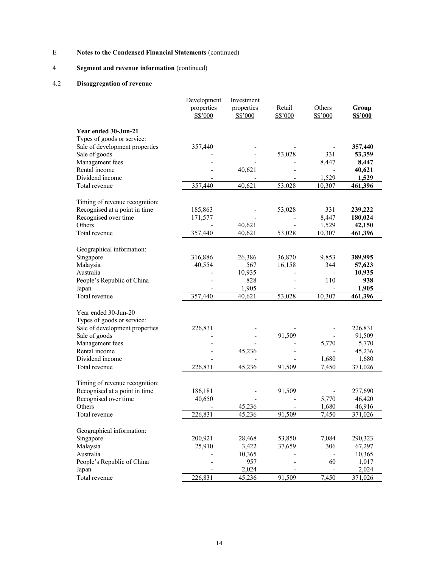## 4 Segment and revenue information (continued)

## 4.2 Disaggregation of revenue

|                                | Development<br>properties<br>S\$'000 | Investment<br>properties<br>S\$'000 | Retail<br>S\$'000 | Others<br>S\$'000            | Group<br><b>S\$'000</b> |
|--------------------------------|--------------------------------------|-------------------------------------|-------------------|------------------------------|-------------------------|
| Year ended 30-Jun-21           |                                      |                                     |                   |                              |                         |
| Types of goods or service:     |                                      |                                     |                   |                              |                         |
| Sale of development properties | 357,440                              |                                     |                   |                              | 357,440                 |
| Sale of goods                  |                                      |                                     | 53,028            | 331                          | 53,359                  |
| Management fees                |                                      |                                     |                   | 8,447                        | 8,447                   |
| Rental income                  |                                      | 40,621                              |                   |                              | 40,621                  |
| Dividend income                |                                      |                                     |                   | 1,529                        | 1,529                   |
| Total revenue                  | 357,440                              | 40,621                              | 53,028            | 10,307                       | 461,396                 |
| Timing of revenue recognition: |                                      |                                     |                   |                              |                         |
| Recognised at a point in time  | 185,863                              |                                     | 53,028            | 331                          | 239,222                 |
| Recognised over time           | 171,577                              |                                     |                   | 8,447                        | 180,024                 |
| Others                         |                                      | 40,621                              |                   | 1,529                        | 42,150                  |
| Total revenue                  | 357,440                              | 40,621                              | 53,028            | 10,307                       | 461,396                 |
|                                |                                      |                                     |                   |                              |                         |
| Geographical information:      |                                      |                                     |                   |                              |                         |
| Singapore                      | 316,886                              | 26,386                              | 36,870            | 9,853                        | 389,995                 |
| Malaysia                       | 40,554                               | 567                                 | 16,158            | 344                          | 57,623                  |
| Australia                      |                                      | 10,935                              |                   |                              | 10,935                  |
| People's Republic of China     |                                      | 828                                 | $\overline{a}$    | 110                          | 938                     |
| Japan                          |                                      | 1,905                               |                   | $\qquad \qquad \blacksquare$ | 1,905                   |
| Total revenue                  | 357,440                              | 40,621                              | 53,028            | 10,307                       | 461,396                 |
|                                |                                      |                                     |                   |                              |                         |
| Year ended 30-Jun-20           |                                      |                                     |                   |                              |                         |
| Types of goods or service:     |                                      |                                     |                   |                              |                         |
| Sale of development properties | 226,831                              |                                     |                   |                              | 226,831                 |
| Sale of goods                  |                                      |                                     | 91,509            |                              | 91,509                  |
| Management fees                |                                      |                                     |                   | 5,770                        | 5,770                   |
| Rental income                  |                                      | 45,236                              |                   |                              | 45,236                  |
| Dividend income                |                                      |                                     |                   | 1,680                        | 1,680                   |
| Total revenue                  | 226,831                              | 45,236                              | 91,509            | 7,450                        | 371,026                 |
| Timing of revenue recognition: |                                      |                                     |                   |                              |                         |
| Recognised at a point in time  | 186,181                              |                                     | 91,509            |                              | 277,690                 |
| Recognised over time           | 40,650                               |                                     |                   | 5,770                        | 46,420                  |
| Others                         |                                      | 45,236                              |                   | 1,680                        | 46,916                  |
| Total revenue                  | 226,831                              | 45,236                              | 91,509            | 7,450                        | 371,026                 |
|                                |                                      |                                     |                   |                              |                         |
| Geographical information:      |                                      |                                     |                   |                              |                         |
| Singapore                      | 200,921                              | 28,468                              | 53,850            | 7,084                        | 290,323                 |
| Malaysia                       | 25,910                               | 3,422                               | 37,659            | 306                          | 67,297                  |
| Australia                      |                                      | 10,365                              |                   | $\overline{\phantom{a}}$     | 10,365                  |
| People's Republic of China     |                                      | 957                                 |                   | 60                           | 1,017                   |
| Japan                          |                                      | 2,024                               |                   | $\blacksquare$               | 2,024                   |
| Total revenue                  | 226,831                              | 45,236                              | 91,509            | 7,450                        | 371,026                 |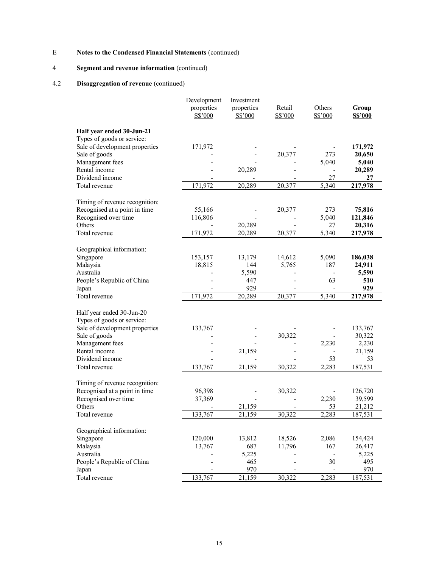## 4 Segment and revenue information (continued)

## 4.2 Disaggregation of revenue (continued)

|                                | Development<br>properties<br>S\$'000 | Investment<br>properties<br>$S\$ {5'000} | Retail<br>S\$'000        | Others<br>S\$'000            | Group<br><b>S\$'000</b> |
|--------------------------------|--------------------------------------|------------------------------------------|--------------------------|------------------------------|-------------------------|
| Half year ended 30-Jun-21      |                                      |                                          |                          |                              |                         |
| Types of goods or service:     |                                      |                                          |                          |                              |                         |
| Sale of development properties | 171,972                              |                                          |                          |                              | 171,972                 |
| Sale of goods                  |                                      |                                          | 20,377                   | 273                          | 20,650                  |
| Management fees                |                                      |                                          |                          | 5,040                        | 5,040                   |
| Rental income                  |                                      | 20,289                                   |                          | $\overline{\phantom{0}}$     | 20,289                  |
| Dividend income                |                                      |                                          |                          | 27                           | 27                      |
| Total revenue                  | 171,972                              | 20,289                                   | 20,377                   | 5,340                        | 217,978                 |
| Timing of revenue recognition: |                                      |                                          |                          |                              |                         |
| Recognised at a point in time  | 55,166                               |                                          | 20,377                   | 273                          | 75,816                  |
| Recognised over time           | 116,806                              |                                          |                          | 5,040                        | 121,846                 |
| Others                         |                                      | 20,289                                   |                          | 27                           | 20,316                  |
| Total revenue                  | 171,972                              | 20,289                                   | 20,377                   | 5,340                        | 217,978                 |
|                                |                                      |                                          |                          |                              |                         |
| Geographical information:      |                                      |                                          |                          |                              |                         |
| Singapore                      | 153,157                              | 13,179                                   | 14,612                   | 5,090                        | 186,038                 |
| Malaysia                       | 18,815                               | 144                                      | 5,765                    | 187                          | 24,911                  |
| Australia                      |                                      | 5,590                                    |                          |                              | 5,590                   |
| People's Republic of China     |                                      | 447                                      |                          | 63                           | 510                     |
| Japan                          | $\overline{\phantom{a}}$             | 929                                      | $\overline{\phantom{a}}$ | $\qquad \qquad \blacksquare$ | 929                     |
| Total revenue                  | 171,972                              | 20,289                                   | 20,377                   | 5,340                        | 217,978                 |
| Half year ended 30-Jun-20      |                                      |                                          |                          |                              |                         |
| Types of goods or service:     |                                      |                                          |                          |                              |                         |
| Sale of development properties | 133,767                              |                                          |                          |                              | 133,767                 |
| Sale of goods                  |                                      |                                          | 30,322                   |                              | 30,322                  |
| Management fees                |                                      |                                          |                          | 2,230                        | 2,230                   |
| Rental income                  |                                      | 21,159                                   |                          | $\qquad \qquad \blacksquare$ | 21,159                  |
| Dividend income                | $\overline{\phantom{a}}$             |                                          | $\overline{\phantom{a}}$ | 53                           | 53                      |
| Total revenue                  | 133,767                              | 21,159                                   | 30,322                   | 2,283                        | 187,531                 |
|                                |                                      |                                          |                          |                              |                         |
| Timing of revenue recognition: |                                      |                                          |                          |                              |                         |
| Recognised at a point in time  | 96,398                               |                                          | 30,322                   |                              | 126,720                 |
| Recognised over time           | 37,369                               |                                          |                          | 2,230                        | 39,599                  |
| Others                         |                                      | 21,159                                   |                          | 53                           | 21,212                  |
| Total revenue                  | 133,767                              | 21,159                                   | 30,322                   | 2,283                        | 187,531                 |
|                                |                                      |                                          |                          |                              |                         |
| Geographical information:      |                                      |                                          |                          |                              |                         |
| Singapore                      | 120,000                              | 13,812                                   | 18,526                   | 2,086                        | 154,424                 |
| Malaysia                       | 13,767                               | 687                                      | 11,796                   | 167                          | 26,417                  |
| Australia                      |                                      | 5,225                                    |                          |                              | 5,225                   |
| People's Republic of China     |                                      | 465                                      |                          | 30                           | 495                     |
| Japan                          |                                      | 970                                      |                          |                              | 970                     |
| Total revenue                  | 133,767                              | 21,159                                   | 30,322                   | 2,283                        | 187,531                 |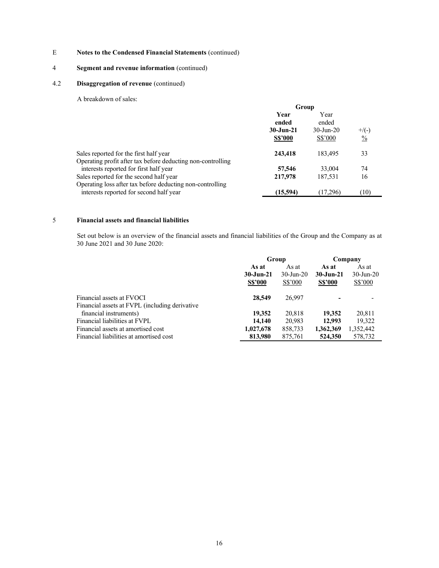## 4 Segment and revenue information (continued)

## 4.2 Disaggregation of revenue (continued)

A breakdown of sales:

|                                                             | Group          |              |               |
|-------------------------------------------------------------|----------------|--------------|---------------|
|                                                             | Year           | Year         |               |
|                                                             | ended          | ended        |               |
|                                                             | $30 - Jun-21$  | $30$ -Jun-20 | $+$ /(-)      |
|                                                             | <b>S\$'000</b> | S\$'000      | $\frac{0}{0}$ |
| Sales reported for the first half year                      | 243,418        | 183,495      | 33            |
| Operating profit after tax before deducting non-controlling |                |              |               |
| interests reported for first half year                      | 57,546         | 33,004       | 74            |
| Sales reported for the second half year                     | 217,978        | 187,531      | 16            |
| Operating loss after tax before deducting non-controlling   |                |              |               |
| interests reported for second half year                     | (15,594)       | (17,296)     | (10)          |

#### 5 Financial assets and financial liabilities

 Set out below is an overview of the financial assets and financial liabilities of the Group and the Company as at 30 June 2021 and 30 June 2020:

|                                                | Group          |              | Company        |              |  |
|------------------------------------------------|----------------|--------------|----------------|--------------|--|
|                                                | As at          | As at        | As at          | As at        |  |
|                                                | $30 - Jun-21$  | $30$ -Jun-20 | $30 - Jun-21$  | $30$ -Jun-20 |  |
|                                                | <b>S\$'000</b> | $S\$ {5'000} | <b>S\$'000</b> | $S\$ {5'000} |  |
| Financial assets at FVOCI                      | 28,549         | 26,997       |                |              |  |
| Financial assets at FVPL (including derivative |                |              |                |              |  |
| financial instruments)                         | 19,352         | 20,818       | 19.352         | 20,811       |  |
| Financial liabilities at FVPL                  | 14,140         | 20,983       | 12.993         | 19,322       |  |
| Financial assets at amortised cost             | 1,027,678      | 858,733      | 1,362,369      | 1,352,442    |  |
| Financial liabilities at amortised cost        | 813,980        | 875.761      | 524,350        | 578,732      |  |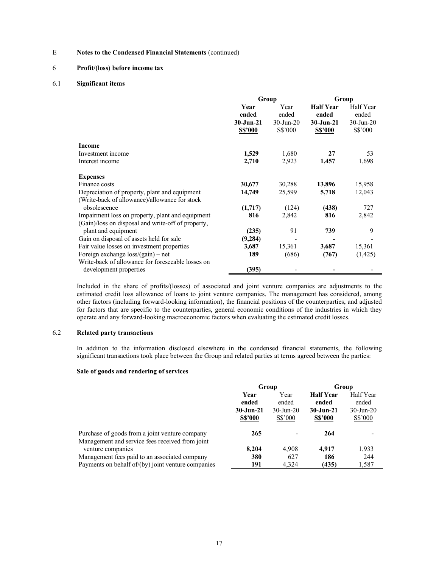### 6 Profit/(loss) before income tax

#### 6.1 Significant items

|                                                    |                                                  | Group                                    | Group                                                        |                                                    |
|----------------------------------------------------|--------------------------------------------------|------------------------------------------|--------------------------------------------------------------|----------------------------------------------------|
|                                                    | Year<br>ended<br>$30 - Jun-21$<br><b>S\$'000</b> | Year<br>ended<br>$30$ -Jun-20<br>S\$'000 | <b>Half Year</b><br>ended<br>$30 - Jun-21$<br><b>S\$'000</b> | Half Year<br>ended<br>$30$ -Jun-20<br>$S\$ {5'000} |
| Income                                             |                                                  |                                          |                                                              |                                                    |
| Investment income                                  | 1,529                                            | 1,680                                    | 27                                                           | 53                                                 |
| Interest income                                    | 2,710                                            | 2,923                                    | 1,457                                                        | 1,698                                              |
| <b>Expenses</b>                                    |                                                  |                                          |                                                              |                                                    |
| Finance costs                                      | 30,677                                           | 30,288                                   | 13,896                                                       | 15,958                                             |
| Depreciation of property, plant and equipment      | 14,749                                           | 25,599                                   | 5,718                                                        | 12,043                                             |
| (Write-back of allowance)/allowance for stock      |                                                  |                                          |                                                              |                                                    |
| obsolescence                                       | (1,717)                                          | (124)                                    | (438)                                                        | 727                                                |
| Impairment loss on property, plant and equipment   | 816                                              | 2,842                                    | 816                                                          | 2,842                                              |
| (Gain)/loss on disposal and write-off of property, |                                                  |                                          |                                                              |                                                    |
| plant and equipment                                | (235)                                            | 91                                       | 739                                                          | 9                                                  |
| Gain on disposal of assets held for sale           | (9, 284)                                         |                                          |                                                              |                                                    |
| Fair value losses on investment properties         | 3,687                                            | 15,361                                   | 3,687                                                        | 15,361                                             |
| Foreign exchange $loss/(gain)$ – net               | 189                                              | (686)                                    | (767)                                                        | (1,425)                                            |
| Write-back of allowance for foreseeable losses on  |                                                  |                                          |                                                              |                                                    |
| development properties                             | (395)                                            |                                          |                                                              |                                                    |

Included in the share of profits/(losses) of associated and joint venture companies are adjustments to the estimated credit loss allowance of loans to joint venture companies. The management has considered, among other factors (including forward-looking information), the financial positions of the counterparties, and adjusted for factors that are specific to the counterparties, general economic conditions of the industries in which they operate and any forward-looking macroeconomic factors when evaluating the estimated credit losses.

## 6.2 Related party transactions

In addition to the information disclosed elsewhere in the condensed financial statements, the following significant transactions took place between the Group and related parties at terms agreed between the parties:

#### Sale of goods and rendering of services

|                                                                                                     | Group                          |                               | Group                                      |                                    |
|-----------------------------------------------------------------------------------------------------|--------------------------------|-------------------------------|--------------------------------------------|------------------------------------|
|                                                                                                     | Year<br>ended<br>$30 - Jun-21$ | Year<br>ended<br>$30$ -Jun-20 | <b>Half Year</b><br>ended<br>$30 - Jun-21$ | Half Year<br>ended<br>$30$ -Jun-20 |
| Purchase of goods from a joint venture company                                                      | <b>S\$'000</b><br>265          | S\$'000                       | <b>S\$'000</b><br>264                      | S\$'000                            |
| Management and service fees received from joint<br>venture companies                                | 8.204                          | 4,908                         | 4.917                                      | 1,933                              |
| Management fees paid to an associated company<br>Payments on behalf of/(by) joint venture companies | 380<br>191                     | 627<br>4.324                  | 186<br>(435)                               | 244<br>1,587                       |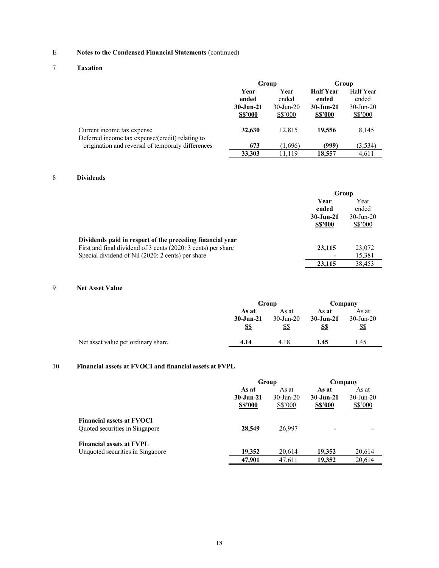## 7 Taxation

|                                                                                | Group          |              | Group            |              |
|--------------------------------------------------------------------------------|----------------|--------------|------------------|--------------|
|                                                                                | Year           | Year         | <b>Half Year</b> | Half Year    |
|                                                                                | ended          | ended        | ended            | ended        |
|                                                                                | $30 - Jun-21$  | $30$ -Jun-20 | $30 - Jun-21$    | $30$ -Jun-20 |
|                                                                                | <b>S\$'000</b> | S\$'000      | <b>S\$'000</b>   | S\$'000      |
| Current income tax expense<br>Deferred income tax expense/(credit) relating to | 32,630         | 12.815       | 19,556           | 8,145        |
| origination and reversal of temporary differences                              | 673            | (1,696)      | (999)            | (3,534)      |
|                                                                                | 33,303         | 11.119       | 18,557           | 4.611        |

## 8 Dividends

|                                                               | Group          |              |  |
|---------------------------------------------------------------|----------------|--------------|--|
|                                                               | Year           | Year         |  |
|                                                               | ended          | ended        |  |
|                                                               | $30 - Jun-21$  | $30$ -Jun-20 |  |
|                                                               | <b>S\$'000</b> | S\$'000      |  |
| Dividends paid in respect of the preceding financial year     |                |              |  |
| First and final dividend of 3 cents (2020: 3 cents) per share | 23,115         | 23,072       |  |
| Special dividend of Nil (2020: 2 cents) per share             |                | 15,381       |  |
|                                                               | 23,115         | 38.453       |  |

## 9 Net Asset Value

|                                    |                                      | Group                        |                               | Company                             |
|------------------------------------|--------------------------------------|------------------------------|-------------------------------|-------------------------------------|
|                                    | As at<br>$30 - Jun-21$<br><u>S\$</u> | As at<br>$30$ -Jun-20<br>S\$ | As at<br>$30 - Jun-21$<br>S\$ | As at<br>$30$ -Jun-20<br><u>S\$</u> |
| Net asset value per ordinary share | 4.14                                 | 4.18                         | 1.45                          | 1.45                                |

## 10 Financial assets at FVOCI and financial assets at FVPL

|                                                                     |                                          | Group                                      |                                          | Company                                  |
|---------------------------------------------------------------------|------------------------------------------|--------------------------------------------|------------------------------------------|------------------------------------------|
|                                                                     | As at<br>$30 - Jun-21$<br><b>S\$'000</b> | As at<br>$30 - \text{Jun} - 20$<br>S\$'000 | As at<br>$30 - Jun-21$<br><b>S\$'000</b> | As at<br>$30 - Jun - 20$<br>$S\$ {S'000} |
| <b>Financial assets at FVOCI</b><br>Quoted securities in Singapore  | 28,549                                   | 26,997                                     | -                                        |                                          |
| <b>Financial assets at FVPL</b><br>Unquoted securities in Singapore | 19.352                                   | 20.614                                     | 19.352                                   | 20,614                                   |
|                                                                     | 47,901                                   | 47.611                                     | 19,352                                   | 20,614                                   |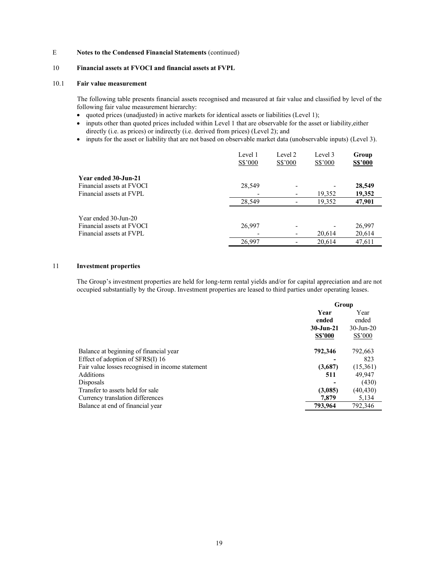### 10 Financial assets at FVOCI and financial assets at FVPL

### 10.1 Fair value measurement

 The following table presents financial assets recognised and measured at fair value and classified by level of the following fair value measurement hierarchy:

- quoted prices (unadjusted) in active markets for identical assets or liabilities (Level 1);
- inputs other than quoted prices included within Level 1 that are observable for the asset or liability,either directly (i.e. as prices) or indirectly (i.e. derived from prices) (Level 2); and
- inputs for the asset or liability that are not based on observable market data (unobservable inputs) (Level 3).

|                           | Level 1<br>S\$'000 | Level 2<br>S\$'000 | Level 3<br>S\$'000 | Group<br><b>S\$'000</b> |
|---------------------------|--------------------|--------------------|--------------------|-------------------------|
| Year ended 30-Jun-21      |                    |                    |                    |                         |
| Financial assets at FVOCI | 28,549             |                    |                    | 28,549                  |
| Financial assets at FVPL  |                    |                    | 19,352             | 19,352                  |
|                           | 28,549             |                    | 19,352             | 47,901                  |
| Year ended 30-Jun-20      |                    |                    |                    |                         |
| Financial assets at FVOCI | 26,997             |                    |                    | 26,997                  |
| Financial assets at FVPL  |                    |                    | 20,614             | 20,614                  |
|                           | 26.997             |                    | 20,614             | 47,611                  |

### 11 Investment properties

The Group's investment properties are held for long-term rental yields and/or for capital appreciation and are not occupied substantially by the Group. Investment properties are leased to third parties under operating leases.

|                                                  | Group                          |              |
|--------------------------------------------------|--------------------------------|--------------|
|                                                  | Year<br>Year<br>ended<br>ended |              |
|                                                  | 30-Jun-21                      | $30$ -Jun-20 |
|                                                  | <b>S\$'000</b>                 | $S\$ {5'000} |
| Balance at beginning of financial year           | 792,346                        | 792,663      |
| Effect of adoption of SFRS(I) 16                 |                                | 823          |
| Fair value losses recognised in income statement | (3,687)                        | (15,361)     |
| <b>Additions</b>                                 | 511                            | 49,947       |
| Disposals                                        |                                | (430)        |
| Transfer to assets held for sale                 | (3,085)                        | (40, 430)    |
| Currency translation differences                 | 7,879                          | 5,134        |
| Balance at end of financial year                 | 793,964                        | 792,346      |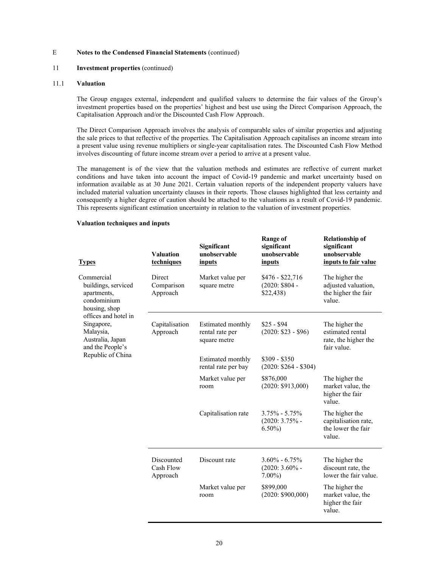#### 11 **Investment properties** (continued)

#### 11.1 Valuation

The Group engages external, independent and qualified valuers to determine the fair values of the Group's investment properties based on the properties' highest and best use using the Direct Comparison Approach, the Capitalisation Approach and/or the Discounted Cash Flow Approach.

The Direct Comparison Approach involves the analysis of comparable sales of similar properties and adjusting the sale prices to that reflective of the properties. The Capitalisation Approach capitalises an income stream into a present value using revenue multipliers or single-year capitalisation rates. The Discounted Cash Flow Method involves discounting of future income stream over a period to arrive at a present value.

The management is of the view that the valuation methods and estimates are reflective of current market conditions and have taken into account the impact of Covid-19 pandemic and market uncertainty based on information available as at 30 June 2021. Certain valuation reports of the independent property valuers have included material valuation uncertainty clauses in their reports. Those clauses highlighted that less certainty and consequently a higher degree of caution should be attached to the valuations as a result of Covid-19 pandemic. This represents significant estimation uncertainty in relation to the valuation of investment properties.

#### Valuation techniques and inputs

| <b>Types</b>                                                                                                                                                                                     | <b>Valuation</b><br>techniques      | Significant<br>unobservable<br>inputs                | Range of<br>significant<br>unobservable<br>inputs  | <b>Relationship of</b><br>significant<br>unobservable<br>inputs to fair value |
|--------------------------------------------------------------------------------------------------------------------------------------------------------------------------------------------------|-------------------------------------|------------------------------------------------------|----------------------------------------------------|-------------------------------------------------------------------------------|
| Commercial<br>buildings, serviced<br>apartments,<br>condominium<br>housing, shop<br>offices and hotel in<br>Singapore,<br>Malaysia,<br>Australia, Japan<br>and the People's<br>Republic of China | Direct<br>Comparison<br>Approach    | Market value per<br>square metre                     | $$476 - $22,716$<br>$(2020: $804 -$<br>\$22,438    | The higher the<br>adjusted valuation,<br>the higher the fair<br>value.        |
|                                                                                                                                                                                                  | Capitalisation<br>Approach          | Estimated monthly<br>rental rate per<br>square metre | $$25 - $94$<br>$(2020: $23 - $96)$                 | The higher the<br>estimated rental<br>rate, the higher the<br>fair value.     |
|                                                                                                                                                                                                  |                                     | Estimated monthly<br>rental rate per bay             | $$309 - $350$<br>$(2020: $264 - $304)$             |                                                                               |
|                                                                                                                                                                                                  |                                     | Market value per<br>room                             | \$876,000<br>(2020: \$913,000)                     | The higher the<br>market value, the<br>higher the fair<br>value.              |
|                                                                                                                                                                                                  |                                     | Capitalisation rate                                  | $3.75\% - 5.75\%$<br>$(2020: 3.75\%$ -<br>$6.50\%$ | The higher the<br>capitalisation rate,<br>the lower the fair<br>value.        |
|                                                                                                                                                                                                  | Discounted<br>Cash Flow<br>Approach | Discount rate                                        | $3.60\% - 6.75\%$<br>$(2020: 3.60\%$ -<br>$7.00\%$ | The higher the<br>discount rate, the<br>lower the fair value.                 |
|                                                                                                                                                                                                  |                                     | Market value per<br>room                             | \$899,000<br>(2020: \$900,000)                     | The higher the<br>market value, the<br>higher the fair<br>value.              |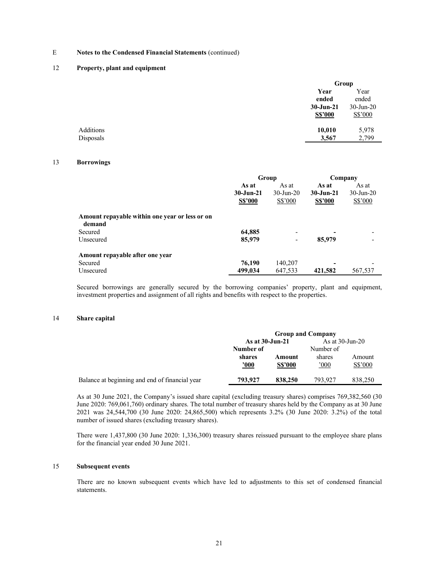#### 12 Property, plant and equipment

|           |                | Group        |  |
|-----------|----------------|--------------|--|
|           | Year           | Year         |  |
|           | ended          | ended        |  |
|           | $30 - Jun-21$  | $30$ -Jun-20 |  |
|           | <b>S\$'000</b> | S\$'000      |  |
| Additions | 10,010         | 5,978        |  |
| Disposals | 3,567          | 2,799        |  |
|           |                |              |  |

### 13 Borrowings

|                                                          | Group          |               | Company        |              |
|----------------------------------------------------------|----------------|---------------|----------------|--------------|
|                                                          | As at          | As at         | As at          | As at        |
|                                                          | $30 - Jun-21$  | $30 - Jun-20$ | $30 - Jun-21$  | $30$ -Jun-20 |
|                                                          | <b>S\$'000</b> | S\$'000       | <b>S\$'000</b> | S\$'000      |
| Amount repayable within one year or less or on<br>demand |                |               |                |              |
| Secured                                                  | 64,885         |               |                |              |
| Unsecured                                                | 85,979         | -             | 85,979         |              |
| Amount repayable after one year                          |                |               |                |              |
| Secured                                                  | 76,190         | 140,207       | ۰              |              |
| Unsecured                                                | 499,034        | 647,533       | 421,582        | 567,537      |

Secured borrowings are generally secured by the borrowing companies' property, plant and equipment, investment properties and assignment of all rights and benefits with respect to the properties.

#### 14 Share capital

|                                                | <b>Group and Company</b> |                          |                       |                   |
|------------------------------------------------|--------------------------|--------------------------|-----------------------|-------------------|
|                                                | As at 30-Jun-21          |                          | As at $30$ -Jun-20    |                   |
|                                                | Number of                |                          | Number of             |                   |
|                                                | shares<br><u>'000</u>    | Amount<br><b>S\$'000</b> | shares<br>$000^\circ$ | Amount<br>S\$'000 |
| Balance at beginning and end of financial year | 793.927                  | 838,250                  | 793.927               | 838,250           |

As at 30 June 2021, the Company's issued share capital (excluding treasury shares) comprises 769,382,560 (30 June 2020: 769,061,760) ordinary shares. The total number of treasury shares held by the Company as at 30 June 2021 was 24,544,700 (30 June 2020: 24,865,500) which represents 3.2% (30 June 2020: 3.2%) of the total number of issued shares (excluding treasury shares).

There were 1,437,800 (30 June 2020: 1,336,300) treasury shares reissued pursuant to the employee share plans for the financial year ended 30 June 2021.

### 15 Subsequent events

 There are no known subsequent events which have led to adjustments to this set of condensed financial statements.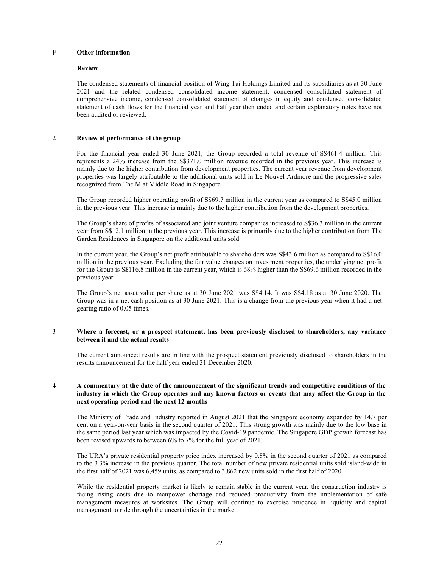## F Other information

#### 1 Review

The condensed statements of financial position of Wing Tai Holdings Limited and its subsidiaries as at 30 June 2021 and the related condensed consolidated income statement, condensed consolidated statement of comprehensive income, condensed consolidated statement of changes in equity and condensed consolidated statement of cash flows for the financial year and half year then ended and certain explanatory notes have not been audited or reviewed.

### 2 Review of performance of the group

For the financial year ended 30 June 2021, the Group recorded a total revenue of S\$461.4 million. This represents a 24% increase from the S\$371.0 million revenue recorded in the previous year. This increase is mainly due to the higher contribution from development properties. The current year revenue from development properties was largely attributable to the additional units sold in Le Nouvel Ardmore and the progressive sales recognized from The M at Middle Road in Singapore.

The Group recorded higher operating profit of S\$69.7 million in the current year as compared to S\$45.0 million in the previous year. This increase is mainly due to the higher contribution from the development properties.

The Group's share of profits of associated and joint venture companies increased to S\$36.3 million in the current year from S\$12.1 million in the previous year. This increase is primarily due to the higher contribution from The Garden Residences in Singapore on the additional units sold.

In the current year, the Group's net profit attributable to shareholders was S\$43.6 million as compared to S\$16.0 million in the previous year. Excluding the fair value changes on investment properties, the underlying net profit for the Group is S\$116.8 million in the current year, which is 68% higher than the S\$69.6 million recorded in the previous year.

The Group's net asset value per share as at 30 June 2021 was S\$4.14. It was S\$4.18 as at 30 June 2020. The Group was in a net cash position as at 30 June 2021. This is a change from the previous year when it had a net gearing ratio of 0.05 times.

#### 3 Where a forecast, or a prospect statement, has been previously disclosed to shareholders, any variance between it and the actual results

The current announced results are in line with the prospect statement previously disclosed to shareholders in the results announcement for the half year ended 31 December 2020.

#### 4 A commentary at the date of the announcement of the significant trends and competitive conditions of the industry in which the Group operates and any known factors or events that may affect the Group in the next operating period and the next 12 months

The Ministry of Trade and Industry reported in August 2021 that the Singapore economy expanded by 14.7 per cent on a year-on-year basis in the second quarter of 2021. This strong growth was mainly due to the low base in the same period last year which was impacted by the Covid-19 pandemic. The Singapore GDP growth forecast has been revised upwards to between 6% to 7% for the full year of 2021.

The URA's private residential property price index increased by 0.8% in the second quarter of 2021 as compared to the 3.3% increase in the previous quarter. The total number of new private residential units sold island-wide in the first half of 2021 was 6,459 units, as compared to 3,862 new units sold in the first half of 2020.

While the residential property market is likely to remain stable in the current year, the construction industry is facing rising costs due to manpower shortage and reduced productivity from the implementation of safe management measures at worksites. The Group will continue to exercise prudence in liquidity and capital management to ride through the uncertainties in the market.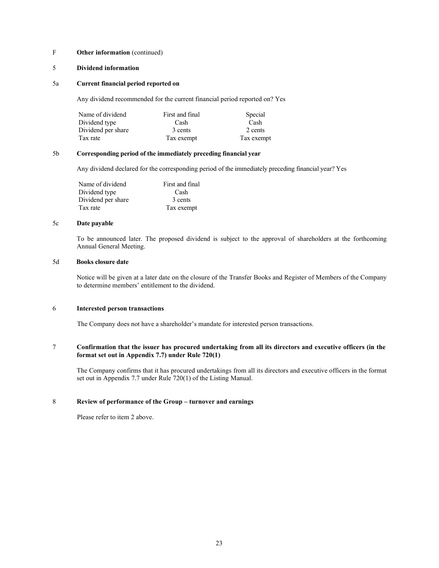### F Other information (continued)

### 5 Dividend information

### 5a Current financial period reported on

Any dividend recommended for the current financial period reported on? Yes

| Name of dividend   | First and final | Special    |
|--------------------|-----------------|------------|
| Dividend type      | Cash            | Cash       |
| Dividend per share | 3 cents         | 2 cents    |
| Tax rate           | Tax exempt      | Tax exempt |

#### 5b Corresponding period of the immediately preceding financial year

Any dividend declared for the corresponding period of the immediately preceding financial year? Yes

| Name of dividend   | First and final |
|--------------------|-----------------|
| Dividend type      | Cash            |
| Dividend per share | 3 cents         |
| Tax rate           | Tax exempt      |

#### 5c Date payable

To be announced later. The proposed dividend is subject to the approval of shareholders at the forthcoming Annual General Meeting.

#### 5d Books closure date

Notice will be given at a later date on the closure of the Transfer Books and Register of Members of the Company to determine members' entitlement to the dividend.

### 6 Interested person transactions

The Company does not have a shareholder's mandate for interested person transactions.

#### 7 Confirmation that the issuer has procured undertaking from all its directors and executive officers (in the format set out in Appendix 7.7) under Rule 720(1)

The Company confirms that it has procured undertakings from all its directors and executive officers in the format set out in Appendix 7.7 under Rule 720(1) of the Listing Manual.

### 8 Review of performance of the Group – turnover and earnings

Please refer to item 2 above.